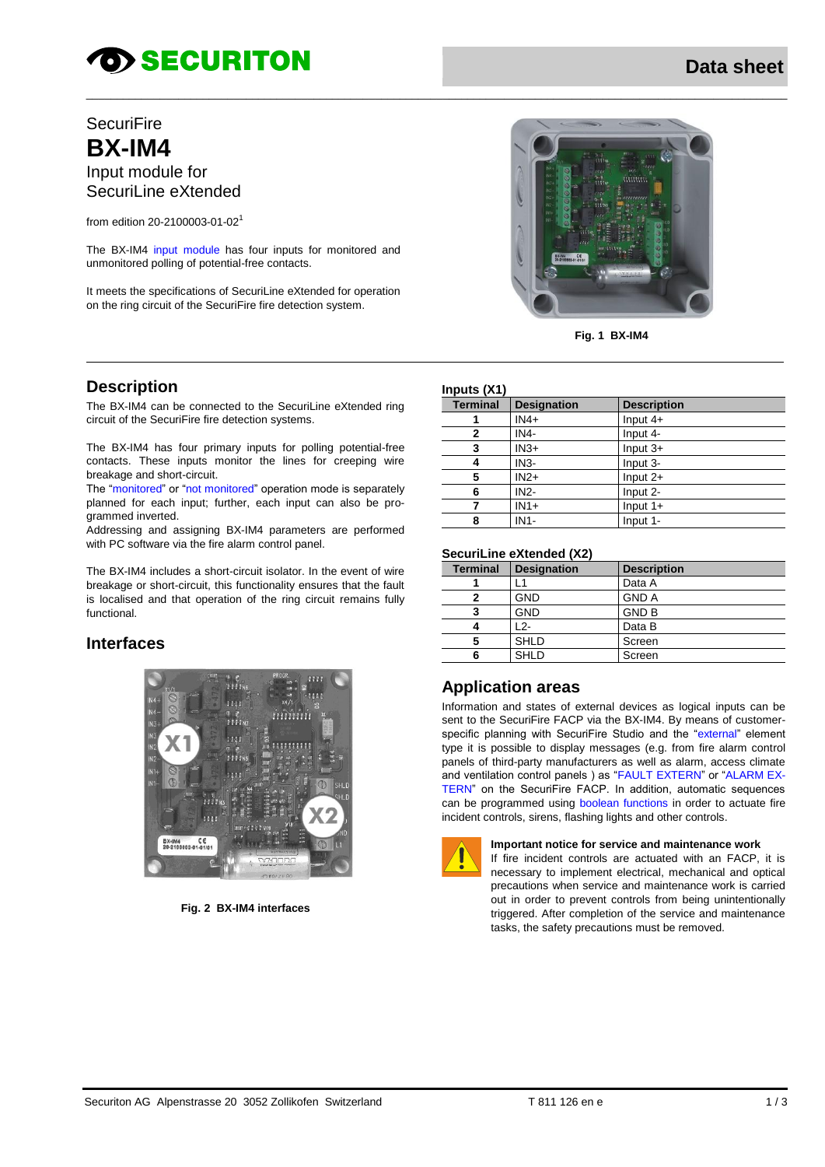# **TO SECURITON**

# **SecuriFire BX-IM4** Input module for SecuriLine eXtended

from edition 20-2100003-01-02 1

The BX-IM4 input module has four inputs for monitored and unmonitored polling of potential-free contacts.

It meets the specifications of SecuriLine eXtended for operation on the ring circuit of the SecuriFire fire detection system.



The BX-IM4 can be connected to the SecuriLine eXtended ring circuit of the SecuriFire fire detection systems.

The BX-IM4 has four primary inputs for polling potential-free contacts. These inputs monitor the lines for creeping wire breakage and short-circuit.

The "monitored" or "not monitored" operation mode is separately planned for each input; further, each input can also be programmed inverted.

Addressing and assigning BX-IM4 parameters are performed with PC software via the fire alarm control panel.

The BX-IM4 includes a short-circuit isolator. In the event of wire breakage or short-circuit, this functionality ensures that the fault is localised and that operation of the ring circuit remains fully functional.

### **Interfaces**



**Fig. 2 BX-IM4 interfaces**



**Fig. 1 BX-IM4**

#### **Inputs (X1)**

\_\_\_\_\_\_\_\_\_\_\_\_\_\_\_\_\_\_\_\_\_\_\_\_\_\_\_\_\_\_\_\_\_\_\_\_\_\_\_\_\_\_\_\_\_\_\_\_\_\_\_\_\_\_\_\_\_\_\_\_\_\_\_\_\_\_\_\_\_\_\_\_\_\_\_\_\_\_\_\_\_\_\_\_\_\_\_\_\_\_\_\_\_\_\_\_\_\_\_\_\_\_\_\_\_\_\_\_\_\_\_\_\_\_

| $n$ puto (ATT   |                    |                    |  |  |
|-----------------|--------------------|--------------------|--|--|
| <b>Terminal</b> | <b>Designation</b> | <b>Description</b> |  |  |
|                 | $IN4+$             | Input $4+$         |  |  |
| 2               | IN4-               | Input 4-           |  |  |
| 3               | $IN3+$             | Input $3+$         |  |  |
| 4               | $IN3-$             | Input 3-           |  |  |
| 5               | $IN2+$             | Input $2+$         |  |  |
| 6               | $IN2-$             | Input 2-           |  |  |
|                 | $IN1+$             | Input $1+$         |  |  |
| 8               | $IN1-$             | Input 1-           |  |  |

#### **SecuriLine eXtended (X2)**

| <b>Terminal</b> | <b>Designation</b> | <b>Description</b> |  |  |
|-----------------|--------------------|--------------------|--|--|
|                 |                    | Data A             |  |  |
|                 | <b>GND</b>         | <b>GND A</b>       |  |  |
|                 | <b>GND</b>         | <b>GND B</b>       |  |  |
|                 | 12-                | Data B             |  |  |
|                 | <b>SHLD</b>        | Screen             |  |  |
|                 | <b>SHLD</b>        | Screen             |  |  |
|                 |                    |                    |  |  |

### **Application areas**

Information and states of external devices as logical inputs can be sent to the SecuriFire FACP via the BX-IM4. By means of customerspecific planning with SecuriFire Studio and the "external" element type it is possible to display messages (e.g. from fire alarm control panels of third-party manufacturers as well as alarm, access climate and ventilation control panels ) as "FAULT EXTERN" or "ALARM EX-TERN" on the SecuriFire FACP. In addition, automatic sequences can be programmed using boolean functions in order to actuate fire incident controls, sirens, flashing lights and other controls.



#### **Important notice for service and maintenance work**

If fire incident controls are actuated with an FACP, it is necessary to implement electrical, mechanical and optical precautions when service and maintenance work is carried out in order to prevent controls from being unintentionally triggered. After completion of the service and maintenance tasks, the safety precautions must be removed.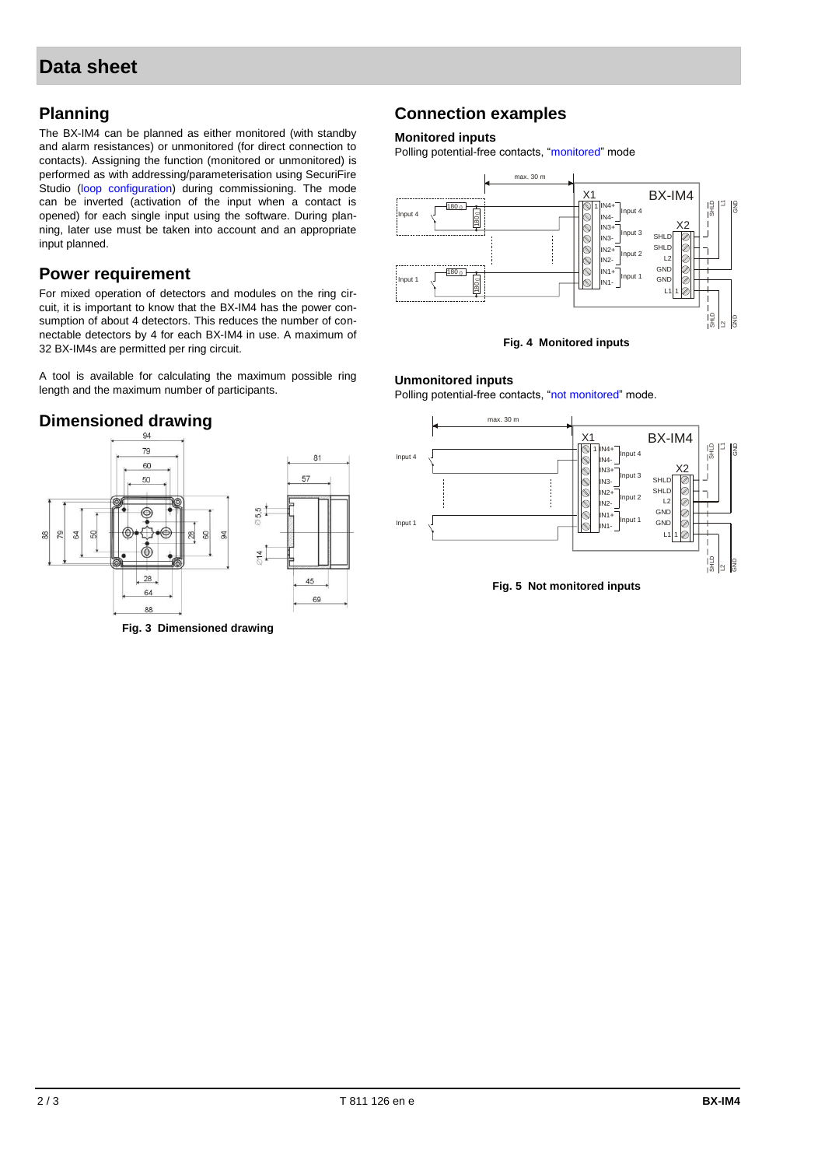# **Planning**

The BX-IM4 can be planned as either monitored (with standby and alarm resistances) or unmonitored (for direct connection to contacts). Assigning the function (monitored or unmonitored) is performed as with addressing/parameterisation using SecuriFire Studio (loop configuration) during commissioning. The mode can be inverted (activation of the input when a contact is opened) for each single input using the software. During planning, later use must be taken into account and an appropriate input planned.

### **Power requirement**

For mixed operation of detectors and modules on the ring circuit, it is important to know that the BX-IM4 has the power consumption of about 4 detectors. This reduces the number of connectable detectors by 4 for each BX-IM4 in use. A maximum of 32 BX-IM4s are permitted per ring circuit.

A tool is available for calculating the maximum possible ring length and the maximum number of participants.

# **Dimensioned drawing**



**Fig. 3 Dimensioned drawing**

## **Connection examples**

#### **Monitored inputs**

Polling potential-free contacts, "monitored" mode



#### **Unmonitored inputs**

Polling potential-free contacts, "not monitored" mode.



**Fig. 5 Not monitored inputs**